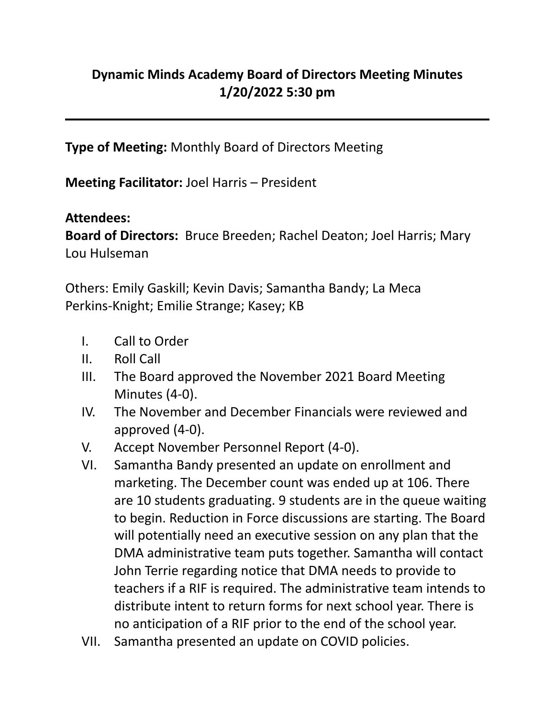## **Dynamic Minds Academy Board of Directors Meeting Minutes 1/20/2022 5:30 pm**

**Type of Meeting:** Monthly Board of Directors Meeting

**Meeting Facilitator:** Joel Harris – President

## **Attendees:**

**Board of Directors:** Bruce Breeden; Rachel Deaton; Joel Harris; Mary Lou Hulseman

Others: Emily Gaskill; Kevin Davis; Samantha Bandy; La Meca Perkins-Knight; Emilie Strange; Kasey; KB

- I. Call to Order
- II. Roll Call
- III. The Board approved the November 2021 Board Meeting Minutes (4-0).
- IV. The November and December Financials were reviewed and approved (4-0).
- V. Accept November Personnel Report (4-0).
- VI. Samantha Bandy presented an update on enrollment and marketing. The December count was ended up at 106. There are 10 students graduating. 9 students are in the queue waiting to begin. Reduction in Force discussions are starting. The Board will potentially need an executive session on any plan that the DMA administrative team puts together. Samantha will contact John Terrie regarding notice that DMA needs to provide to teachers if a RIF is required. The administrative team intends to distribute intent to return forms for next school year. There is no anticipation of a RIF prior to the end of the school year.
- VII. Samantha presented an update on COVID policies.